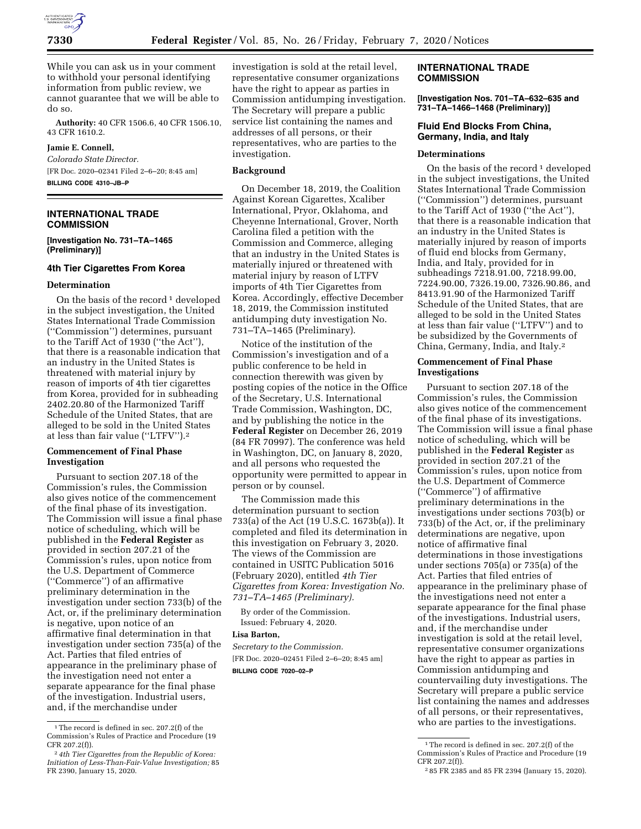

While you can ask us in your comment to withhold your personal identifying information from public review, we cannot guarantee that we will be able to do so.

**Authority:** 40 CFR 1506.6, 40 CFR 1506.10, 43 CFR 1610.2.

# **Jamie E. Connell,**

*Colorado State Director.*  [FR Doc. 2020–02341 Filed 2–6–20; 8:45 am] **BILLING CODE 4310–JB–P** 

# **INTERNATIONAL TRADE COMMISSION**

**[Investigation No. 731–TA–1465 (Preliminary)]** 

#### **4th Tier Cigarettes From Korea**

#### **Determination**

On the basis of the record  $1$  developed in the subject investigation, the United States International Trade Commission (''Commission'') determines, pursuant to the Tariff Act of 1930 (''the Act''), that there is a reasonable indication that an industry in the United States is threatened with material injury by reason of imports of 4th tier cigarettes from Korea, provided for in subheading 2402.20.80 of the Harmonized Tariff Schedule of the United States, that are alleged to be sold in the United States at less than fair value (''LTFV'').2

#### **Commencement of Final Phase Investigation**

Pursuant to section 207.18 of the Commission's rules, the Commission also gives notice of the commencement of the final phase of its investigation. The Commission will issue a final phase notice of scheduling, which will be published in the **Federal Register** as provided in section 207.21 of the Commission's rules, upon notice from the U.S. Department of Commerce (''Commerce'') of an affirmative preliminary determination in the investigation under section 733(b) of the Act, or, if the preliminary determination is negative, upon notice of an affirmative final determination in that investigation under section 735(a) of the Act. Parties that filed entries of appearance in the preliminary phase of the investigation need not enter a separate appearance for the final phase of the investigation. Industrial users, and, if the merchandise under

investigation is sold at the retail level, representative consumer organizations have the right to appear as parties in Commission antidumping investigation. The Secretary will prepare a public service list containing the names and addresses of all persons, or their representatives, who are parties to the investigation.

#### **Background**

On December 18, 2019, the Coalition Against Korean Cigarettes, Xcaliber International, Pryor, Oklahoma, and Cheyenne International, Grover, North Carolina filed a petition with the Commission and Commerce, alleging that an industry in the United States is materially injured or threatened with material injury by reason of LTFV imports of 4th Tier Cigarettes from Korea. Accordingly, effective December 18, 2019, the Commission instituted antidumping duty investigation No. 731–TA–1465 (Preliminary).

Notice of the institution of the Commission's investigation and of a public conference to be held in connection therewith was given by posting copies of the notice in the Office of the Secretary, U.S. International Trade Commission, Washington, DC, and by publishing the notice in the **Federal Register** on December 26, 2019 (84 FR 70997). The conference was held in Washington, DC, on January 8, 2020, and all persons who requested the opportunity were permitted to appear in person or by counsel.

The Commission made this determination pursuant to section 733(a) of the Act (19 U.S.C. 1673b(a)). It completed and filed its determination in this investigation on February 3, 2020. The views of the Commission are contained in USITC Publication 5016 (February 2020), entitled *4th Tier Cigarettes from Korea: Investigation No. 731–TA–1465 (Preliminary).* 

By order of the Commission. Issued: February 4, 2020.

#### **Lisa Barton,**

*Secretary to the Commission.*  [FR Doc. 2020–02451 Filed 2–6–20; 8:45 am] **BILLING CODE 7020–02–P** 

## **INTERNATIONAL TRADE COMMISSION**

**[Investigation Nos. 701–TA–632–635 and 731–TA–1466–1468 (Preliminary)]** 

# **Fluid End Blocks From China, Germany, India, and Italy**

### **Determinations**

On the basis of the record<sup>1</sup> developed in the subject investigations, the United States International Trade Commission (''Commission'') determines, pursuant to the Tariff Act of 1930 (''the Act''), that there is a reasonable indication that an industry in the United States is materially injured by reason of imports of fluid end blocks from Germany, India, and Italy, provided for in subheadings 7218.91.00, 7218.99.00, 7224.90.00, 7326.19.00, 7326.90.86, and 8413.91.90 of the Harmonized Tariff Schedule of the United States, that are alleged to be sold in the United States at less than fair value (''LTFV'') and to be subsidized by the Governments of China, Germany, India, and Italy.2

### **Commencement of Final Phase Investigations**

Pursuant to section 207.18 of the Commission's rules, the Commission also gives notice of the commencement of the final phase of its investigations. The Commission will issue a final phase notice of scheduling, which will be published in the **Federal Register** as provided in section 207.21 of the Commission's rules, upon notice from the U.S. Department of Commerce (''Commerce'') of affirmative preliminary determinations in the investigations under sections 703(b) or 733(b) of the Act, or, if the preliminary determinations are negative, upon notice of affirmative final determinations in those investigations under sections 705(a) or 735(a) of the Act. Parties that filed entries of appearance in the preliminary phase of the investigations need not enter a separate appearance for the final phase of the investigations. Industrial users, and, if the merchandise under investigation is sold at the retail level, representative consumer organizations have the right to appear as parties in Commission antidumping and countervailing duty investigations. The Secretary will prepare a public service list containing the names and addresses of all persons, or their representatives, who are parties to the investigations.

<sup>&</sup>lt;sup>1</sup>The record is defined in sec. 207.2(f) of the Commission's Rules of Practice and Procedure (19 CFR 207.2(f)).

<sup>2</sup> *4th Tier Cigarettes from the Republic of Korea: Initiation of Less-Than-Fair-Value Investigation;* 85 FR 2390, January 15, 2020.

<sup>&</sup>lt;sup>1</sup>The record is defined in sec. 207.2(f) of the Commission's Rules of Practice and Procedure (19 CFR 207.2(f)).

<sup>2</sup> 85 FR 2385 and 85 FR 2394 (January 15, 2020).